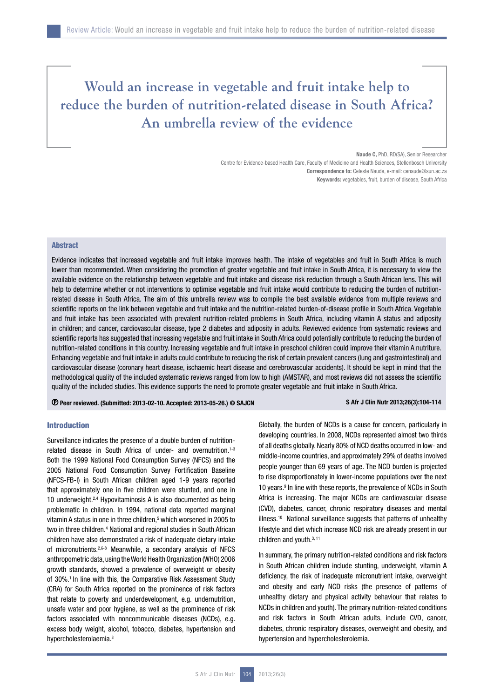# **Would an increase in vegetable and fruit intake help to reduce the burden of nutrition-related disease in South Africa? An umbrella review of the evidence**

Naude C, PhD, RD(SA), Senior Researcher

Centre for Evidence-based Health Care, Faculty of Medicine and Health Sciences, Stellenbosch University Correspondence to: Celeste Naude, e-mail: cenaude@sun.ac.za Keywords: vegetables, fruit, burden of disease, South Africa

# **Abstract**

Evidence indicates that increased vegetable and fruit intake improves health. The intake of vegetables and fruit in South Africa is much lower than recommended. When considering the promotion of greater vegetable and fruit intake in South Africa, it is necessary to view the available evidence on the relationship between vegetable and fruit intake and disease risk reduction through a South African lens. This will help to determine whether or not interventions to optimise vegetable and fruit intake would contribute to reducing the burden of nutritionrelated disease in South Africa. The aim of this umbrella review was to compile the best available evidence from multiple reviews and scientific reports on the link between vegetable and fruit intake and the nutrition-related burden-of-disease profile in South Africa. Vegetable and fruit intake has been associated with prevalent nutrition-related problems in South Africa, including vitamin A status and adiposity in children; and cancer, cardiovascular disease, type 2 diabetes and adiposity in adults. Reviewed evidence from systematic reviews and scientific reports has suggested that increasing vegetable and fruit intake in South Africa could potentially contribute to reducing the burden of nutrition-related conditions in this country. Increasing vegetable and fruit intake in preschool children could improve their vitamin A nutriture. Enhancing vegetable and fruit intake in adults could contribute to reducing the risk of certain prevalent cancers (lung and gastrointestinal) and cardiovascular disease (coronary heart disease, ischaemic heart disease and cerebrovascular accidents). It should be kept in mind that the methodological quality of the included systematic reviews ranged from low to high (AMSTAR), and most reviews did not assess the scientific quality of the included studies. This evidence supports the need to promote greater vegetable and fruit intake in South Africa.

Peer reviewed. (Submitted: 2013-02-10. Accepted: 2013-05-26.) © SAJCN S Afr J Clin Nutr 2013;26(3):104-114

# Introduction

Surveillance indicates the presence of a double burden of nutritionrelated disease in South Africa of under- and overnutrition.<sup>1-3</sup> Both the 1999 National Food Consumption Survey (NFCS) and the 2005 National Food Consumption Survey Fortification Baseline (NFCS-FB-I) in South African children aged 1-9 years reported that approximately one in five children were stunted, and one in 10 underweight.<sup>2,4</sup> Hypovitaminosis A is also documented as being problematic in children. In 1994, national data reported marginal vitamin A status in one in three children,<sup>5</sup> which worsened in 2005 to two in three children.<sup>4</sup> National and regional studies in South African children have also demonstrated a risk of inadequate dietary intake of micronutrients.2,6-8 Meanwhile, a secondary analysis of NFCS anthropometric data, using the World Health Organization (WHO) 2006 growth standards, showed a prevalence of overweight or obesity of 30%.<sup>1</sup> In line with this, the Comparative Risk Assessment Study (CRA) for South Africa reported on the prominence of risk factors that relate to poverty and underdevelopment, e.g. undernutrition, unsafe water and poor hygiene, as well as the prominence of risk factors associated with noncommunicable diseases (NCDs), e.g. excess body weight, alcohol, tobacco, diabetes, hypertension and hypercholesterolaemia.3

Globally, the burden of NCDs is a cause for concern, particularly in developing countries. In 2008, NCDs represented almost two thirds of all deaths globally. Nearly 80% of NCD deaths occurred in low- and middle-income countries, and approximately 29% of deaths involved people younger than 69 years of age. The NCD burden is projected to rise disproportionately in lower-income populations over the next 10 years.<sup>9</sup> In line with these reports, the prevalence of NCDs in South Africa is increasing. The major NCDs are cardiovascular disease (CVD), diabetes, cancer, chronic respiratory diseases and mental illness.<sup>10</sup> National surveillance suggests that patterns of unhealthy lifestyle and diet which increase NCD risk are already present in our children and youth.<sup>3, 11</sup>

In summary, the primary nutrition-related conditions and risk factors in South African children include stunting, underweight, vitamin A deficiency, the risk of inadequate micronutrient intake, overweight and obesity and early NCD risks (the presence of patterns of unhealthy dietary and physical activity behaviour that relates to NCDs in children and youth). The primary nutrition-related conditions and risk factors in South African adults, include CVD, cancer, diabetes, chronic respiratory diseases, overweight and obesity, and hypertension and hypercholesterolemia.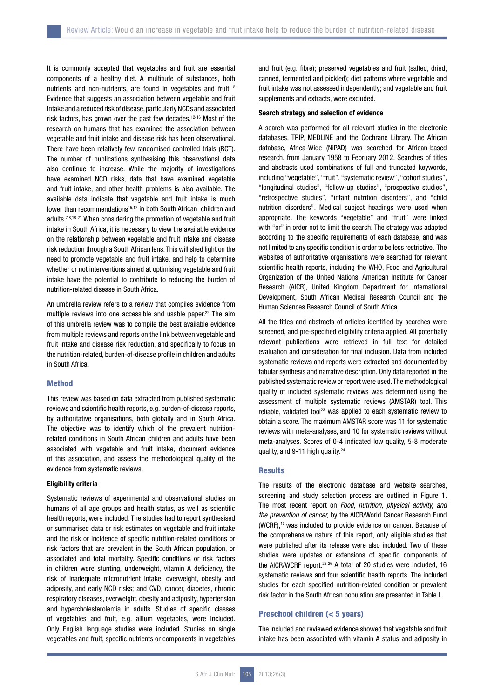It is commonly accepted that vegetables and fruit are essential components of a healthy diet. A multitude of substances, both nutrients and non-nutrients, are found in vegetables and fruit.<sup>12</sup> Evidence that suggests an association between vegetable and fruit intake and a reduced risk of disease, particularly NCDs and associated risk factors, has grown over the past few decades.12-16 Most of the research on humans that has examined the association between vegetable and fruit intake and disease risk has been observational. There have been relatively few randomised controlled trials (RCT). The number of publications synthesising this observational data also continue to increase. While the majority of investigations have examined NCD risks, data that have examined vegetable and fruit intake, and other health problems is also available. The available data indicate that vegetable and fruit intake is much lower than recommendations<sup>15,17</sup> in both South African children and adults.7,8,18-21 When considering the promotion of vegetable and fruit intake in South Africa, it is necessary to view the available evidence on the relationship between vegetable and fruit intake and disease risk reduction through a South African lens. This will shed light on the need to promote vegetable and fruit intake, and help to determine whether or not interventions aimed at optimising vegetable and fruit intake have the potential to contribute to reducing the burden of nutrition-related disease in South Africa.

An umbrella review refers to a review that compiles evidence from multiple reviews into one accessible and usable paper.<sup>22</sup> The aim of this umbrella review was to compile the best available evidence from multiple reviews and reports on the link between vegetable and fruit intake and disease risk reduction, and specifically to focus on the nutrition-related, burden-of-disease profile in children and adults in South Africa.

# Method

This review was based on data extracted from published systematic reviews and scientific health reports, e.g. burden-of-disease reports, by authoritative organisations, both globally and in South Africa. The objective was to identify which of the prevalent nutritionrelated conditions in South African children and adults have been associated with vegetable and fruit intake, document evidence of this association, and assess the methodological quality of the evidence from systematic reviews.

# Eligibility criteria

Systematic reviews of experimental and observational studies on humans of all age groups and health status, as well as scientific health reports, were included. The studies had to report synthesised or summarised data or risk estimates on vegetable and fruit intake and the risk or incidence of specific nutrition-related conditions or risk factors that are prevalent in the South African population, or associated and total mortality. Specific conditions or risk factors in children were stunting, underweight, vitamin A deficiency, the risk of inadequate micronutrient intake, overweight, obesity and adiposity, and early NCD risks; and CVD, cancer, diabetes, chronic respiratory diseases, overweight, obesity and adiposity, hypertension and hypercholesterolemia in adults. Studies of specific classes of vegetables and fruit, e.g. allium vegetables, were included. Only English language studies were included. Studies on single vegetables and fruit; specific nutrients or components in vegetables

and fruit (e.g. fibre); preserved vegetables and fruit (salted, dried, canned, fermented and pickled); diet patterns where vegetable and fruit intake was not assessed independently; and vegetable and fruit supplements and extracts, were excluded.

# Search strategy and selection of evidence

A search was performed for all relevant studies in the electronic databases, TRIP, MEDLINE and the Cochrane Library. The African database, Africa-Wide (NiPAD) was searched for African-based research, from January 1958 to February 2012. Searches of titles and abstracts used combinations of full and truncated keywords, including "vegetable", "fruit", "systematic review", "cohort studies", "longitudinal studies", "follow-up studies", "prospective studies", "retrospective studies", "infant nutrition disorders", and "child nutrition disorders". Medical subject headings were used when appropriate. The keywords "vegetable" and "fruit" were linked with "or" in order not to limit the search. The strategy was adapted according to the specific requirements of each database, and was not limited to any specific condition is order to be less restrictive. The websites of authoritative organisations were searched for relevant scientific health reports, including the WHO, Food and Agricultural Organization of the United Nations, American Institute for Cancer Research (AICR), United Kingdom Department for International Development, South African Medical Research Council and the Human Sciences Research Council of South Africa.

All the titles and abstracts of articles identified by searches were screened, and pre-specified eligibility criteria applied. All potentially relevant publications were retrieved in full text for detailed evaluation and consideration for final inclusion. Data from included systematic reviews and reports were extracted and documented by tabular synthesis and narrative description. Only data reported in the published systematic review or report were used. The methodological quality of included systematic reviews was determined using the assessment of multiple systematic reviews (AMSTAR) tool. This reliable, validated tool<sup>23</sup> was applied to each systematic review to obtain a score. The maximum AMSTAR score was 11 for systematic reviews with meta-analyses, and 10 for systematic reviews without meta-analyses. Scores of 0-4 indicated low quality, 5-8 moderate quality, and 9-11 high quality.<sup>24</sup>

# **Results**

The results of the electronic database and website searches, screening and study selection process are outlined in Figure 1. The most recent report on *Food, nutrition, physical activity, and the prevention of cancer,* by the AICR/World Cancer Research Fund (WCRF),13 was included to provide evidence on cancer. Because of the comprehensive nature of this report, only eligible studies that were published after its release were also included. Two of these studies were updates or extensions of specific components of the AICR/WCRF report.25-26 A total of 20 studies were included, 16 systematic reviews and four scientific health reports. The included studies for each specified nutrition-related condition or prevalent risk factor in the South African population are presented in Table I.

# Preschool children (< 5 years)

The included and reviewed evidence showed that vegetable and fruit intake has been associated with vitamin A status and adiposity in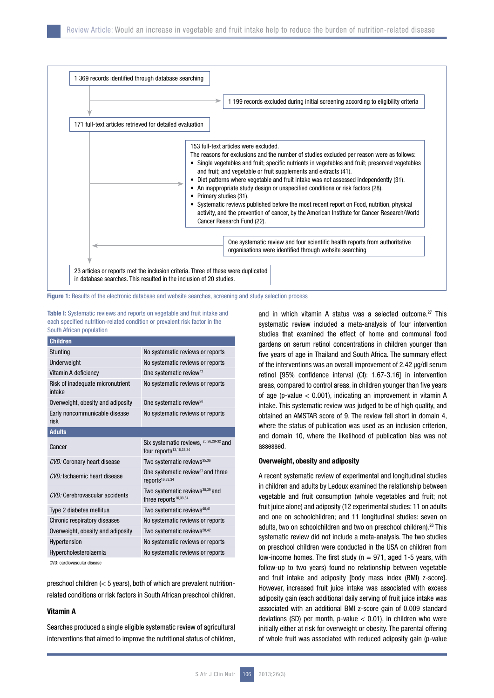|                                                          | 1 199 records excluded during initial screening according to eligibility criteria                                                                                                                                                                                                                                                                                                                                                                                                                                                                                                                                                                                                                                                |
|----------------------------------------------------------|----------------------------------------------------------------------------------------------------------------------------------------------------------------------------------------------------------------------------------------------------------------------------------------------------------------------------------------------------------------------------------------------------------------------------------------------------------------------------------------------------------------------------------------------------------------------------------------------------------------------------------------------------------------------------------------------------------------------------------|
| 171 full-text articles retrieved for detailed evaluation |                                                                                                                                                                                                                                                                                                                                                                                                                                                                                                                                                                                                                                                                                                                                  |
| $\bullet$<br>٠<br>٠<br>٠                                 | 153 full-text articles were excluded.<br>The reasons for exclusions and the number of studies excluded per reason were as follows:<br>Single vegetables and fruit; specific nutrients in vegetables and fruit; preserved vegetables<br>and fruit; and vegetable or fruit supplements and extracts (41).<br>Diet patterns where vegetable and fruit intake was not assessed independently (31).<br>An inappropriate study design or unspecified conditions or risk factors (28).<br>Primary studies (31).<br>Systematic reviews published before the most recent report on Food, nutrition, physical<br>activity, and the prevention of cancer, by the American Institute for Cancer Research/World<br>Cancer Research Fund (22). |
|                                                          | One systematic review and four scientific health reports from authoritative<br>organisations were identified through website searching                                                                                                                                                                                                                                                                                                                                                                                                                                                                                                                                                                                           |

Figure 1: Results of the electronic database and website searches, screening and study selection process

Table I: Systematic reviews and reports on vegetable and fruit intake and each specified nutrition-related condition or prevalent risk factor in the South African population

| <b>Children</b>                            |                                                                                |  |  |
|--------------------------------------------|--------------------------------------------------------------------------------|--|--|
| Stunting                                   | No systematic reviews or reports                                               |  |  |
| Underweight                                | No systematic reviews or reports                                               |  |  |
| Vitamin A deficiency                       | One systematic review <sup>27</sup>                                            |  |  |
| Risk of inadequate micronutrient<br>intake | No systematic reviews or reports                                               |  |  |
| Overweight, obesity and adiposity          | One systematic review <sup>28</sup>                                            |  |  |
| Early noncommunicable disease<br>risk      | No systematic reviews or reports                                               |  |  |
| <b>Adults</b>                              |                                                                                |  |  |
| Cancer                                     | Six systematic reviews, 25,26,29-32 and<br>four reports <sup>13,16,33,34</sup> |  |  |
| CVD: Coronary heart disease                | Two systematic reviews <sup>35,36</sup>                                        |  |  |
| CVD: Ischaemic heart disease               | One systematic review <sup>37</sup> and three<br>reports <sup>16,33,34</sup>   |  |  |
| CVD: Cerebrovascular accidents             | Two systematic reviews <sup>38,39</sup> and<br>three reports $16,33,34$        |  |  |
| Type 2 diabetes mellitus                   | Two systematic reviews <sup>40,41</sup>                                        |  |  |
| Chronic respiratory diseases               | No systematic reviews or reports                                               |  |  |
| Overweight, obesity and adiposity          | Two systematic reviews <sup>28,42</sup>                                        |  |  |
| Hypertension                               | No systematic reviews or reports                                               |  |  |
| Hypercholesterolaemia                      | No systematic reviews or reports                                               |  |  |
|                                            |                                                                                |  |  |

CVD: cardiovascular disease

preschool children (< 5 years), both of which are prevalent nutritionrelated conditions or risk factors in South African preschool children.

#### Vitamin A

Searches produced a single eligible systematic review of agricultural interventions that aimed to improve the nutritional status of children, and in which vitamin A status was a selected outcome.<sup>27</sup> This systematic review included a meta-analysis of four intervention studies that examined the effect of home and communal food gardens on serum retinol concentrations in children younger than five years of age in Thailand and South Africa. The summary effect of the interventions was an overall improvement of 2.42 µg/dl serum retinol [95% confidence interval (CI): 1.67-3.16] in intervention areas, compared to control areas, in children younger than five years of age (p-value < 0.001), indicating an improvement in vitamin A intake. This systematic review was judged to be of high quality, and obtained an AMSTAR score of 9. The review fell short in domain 4, where the status of publication was used as an inclusion criterion, and domain 10, where the likelihood of publication bias was not assessed.

# Overweight, obesity and adiposity

A recent systematic review of experimental and longitudinal studies in children and adults by Ledoux examined the relationship between vegetable and fruit consumption (whole vegetables and fruit; not fruit juice alone) and adiposity (12 experimental studies: 11 on adults and one on schoolchildren; and 11 longitudinal studies: seven on adults, two on schoolchildren and two on preschool children).<sup>28</sup> This systematic review did not include a meta-analysis. The two studies on preschool children were conducted in the USA on children from low-income homes. The first study ( $n = 971$ , aged 1-5 years, with follow-up to two years) found no relationship between vegetable and fruit intake and adiposity [body mass index (BMI) z-score]. However, increased fruit juice intake was associated with excess adiposity gain (each additional daily serving of fruit juice intake was associated with an additional BMI z-score gain of 0.009 standard deviations (SD) per month, p-value  $<$  0.01), in children who were initially either at risk for overweight or obesity. The parental offering of whole fruit was associated with reduced adiposity gain (p-value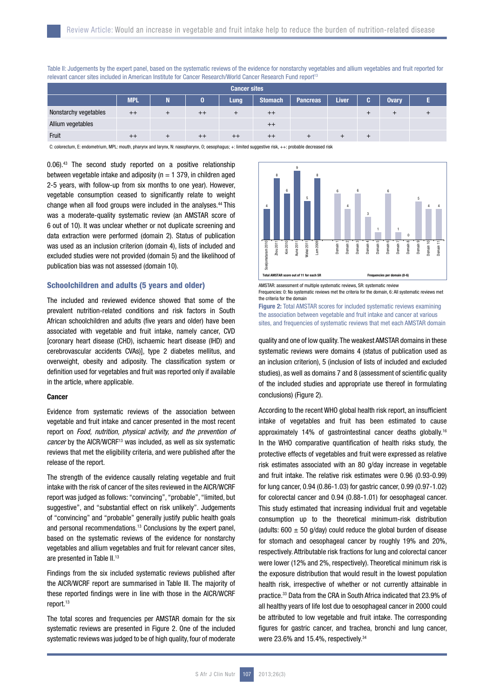| <b>Cancer sites</b>   |            |  |      |      |                |                 |              |    |              |  |
|-----------------------|------------|--|------|------|----------------|-----------------|--------------|----|--------------|--|
|                       | <b>MPL</b> |  | 0    | Lung | <b>Stomach</b> | <b>Pancreas</b> | <b>Liver</b> | G. | <b>Ovary</b> |  |
| Nonstarchy vegetables | $++$       |  | $++$ |      | $++$           |                 |              |    |              |  |
| Allium vegetables     |            |  |      |      | $^{++}$        |                 |              |    |              |  |
| Fruit                 |            |  |      |      | $^{++}$        |                 |              |    |              |  |

Table II: Judgements by the expert panel, based on the systematic reviews of the evidence for nonstarchy vegetables and allium vegetables and fruit reported for relevant cancer sites included in American Institute for Cancer Research/World Cancer Research Fund report<sup>13</sup>

C: colorectum, E: endometrium, MPL: mouth, pharynx and larynx, N: nasopharynx, O; oesophagus; +: limited suggestive risk, ++: probable decreased risk

0.06).43 The second study reported on a positive relationship between vegetable intake and adiposity ( $n = 1,379$ , in children aged 2-5 years, with follow-up from six months to one year). However, vegetable consumption ceased to significantly relate to weight change when all food groups were included in the analyses.44 This was a moderate-quality systematic review (an AMSTAR score of 6 out of 10). It was unclear whether or not duplicate screening and data extraction were performed (domain 2). Status of publication was used as an inclusion criterion (domain 4), lists of included and excluded studies were not provided (domain 5) and the likelihood of publication bias was not assessed (domain 10).

# Schoolchildren and adults (5 years and older)

The included and reviewed evidence showed that some of the prevalent nutrition-related conditions and risk factors in South African schoolchildren and adults (five years and older) have been associated with vegetable and fruit intake, namely cancer, CVD [coronary heart disease (CHD), ischaemic heart disease (IHD) and cerebrovascular accidents CVAs)], type 2 diabetes mellitus, and overweight, obesity and adiposity. The classification system or definition used for vegetables and fruit was reported only if available in the article, where applicable.

### **Cancer**

Evidence from systematic reviews of the association between vegetable and fruit intake and cancer presented in the most recent report on *Food, nutrition, physical activity, and the prevention of cancer* by the AICR/WCRF<sup>13</sup> was included, as well as six systematic reviews that met the eligibility criteria, and were published after the release of the report.

The strength of the evidence causally relating vegetable and fruit intake with the risk of cancer of the sites reviewed in the AICR/WCRF report was judged as follows: "convincing", "probable", "limited, but suggestive", and "substantial effect on risk unlikely". Judgements of "convincing" and "probable" generally justify public health goals and personal recommendations.13 Conclusions by the expert panel, based on the systematic reviews of the evidence for nonstarchy vegetables and allium vegetables and fruit for relevant cancer sites, are presented in Table II.<sup>13</sup>

Findings from the six included systematic reviews published after the AICR/WCRF report are summarised in Table III. The majority of these reported findings were in line with those in the AICR/WCRF report.<sup>13</sup>

The total scores and frequencies per AMSTAR domain for the six systematic reviews are presented in Figure 2. One of the included systematic reviews was judged to be of high quality, four of moderate



Frequencies: 0: No systematic reviews met the criteria for the domain, 6: All systematic reviews met the criteria for the domain

Figure 2: Total AMSTAR scores for included systematic reviews examining the association between vegetable and fruit intake and cancer at various sites, and frequencies of systematic reviews that met each AMSTAR domain

quality and one of low quality. The weakest AMSTAR domains in these systematic reviews were domains 4 (status of publication used as an inclusion criterion), 5 (inclusion of lists of included and excluded studies), as well as domains 7 and 8 (assessment of scientific quality of the included studies and appropriate use thereof in formulating conclusions) (Figure 2).

According to the recent WHO global health risk report, an insufficient intake of vegetables and fruit has been estimated to cause approximately 14% of gastrointestinal cancer deaths globally.16 In the WHO comparative quantification of health risks study, the protective effects of vegetables and fruit were expressed as relative risk estimates associated with an 80 g/day increase in vegetable and fruit intake. The relative risk estimates were 0.96 (0.93-0.99) for lung cancer, 0.94 (0.86-1.03) for gastric cancer, 0.99 (0.97-1.02) for colorectal cancer and 0.94 (0.88-1.01) for oesophageal cancer. This study estimated that increasing individual fruit and vegetable consumption up to the theoretical minimum-risk distribution (adults:  $600 \pm 50$  g/day) could reduce the global burden of disease for stomach and oesophageal cancer by roughly 19% and 20%, respectively. Attributable risk fractions for lung and colorectal cancer were lower (12% and 2%, respectively). Theoretical minimum risk is the exposure distribution that would result in the lowest population health risk, irrespective of whether or not currently attainable in practice.33 Data from the CRA in South Africa indicated that 23.9% of all healthy years of life lost due to oesophageal cancer in 2000 could be attributed to low vegetable and fruit intake. The corresponding figures for gastric cancer, and trachea, bronchi and lung cancer, were 23.6% and 15.4%, respectively.<sup>34</sup>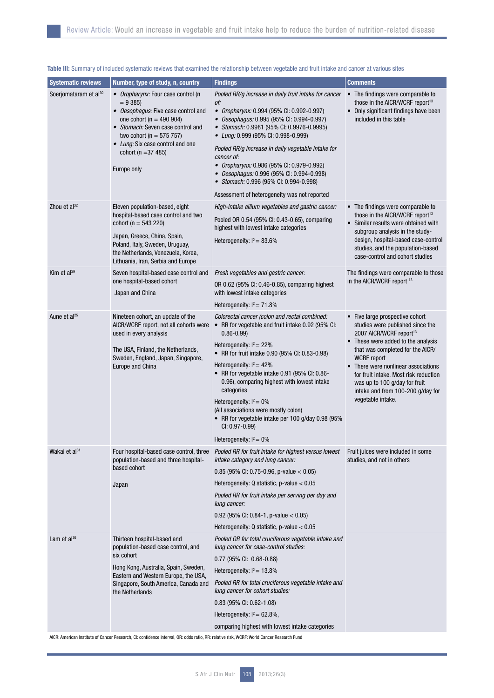| <b>Systematic reviews</b> | Number, type of study, n, country                                                                                                                                                                                                                                        | <b>Findings</b>                                                                                                                                                                                                                                                                                                                                                                                                                                                                                                              | <b>Comments</b>                                                                                                                                                                                                                                                                                                                                                                       |
|---------------------------|--------------------------------------------------------------------------------------------------------------------------------------------------------------------------------------------------------------------------------------------------------------------------|------------------------------------------------------------------------------------------------------------------------------------------------------------------------------------------------------------------------------------------------------------------------------------------------------------------------------------------------------------------------------------------------------------------------------------------------------------------------------------------------------------------------------|---------------------------------------------------------------------------------------------------------------------------------------------------------------------------------------------------------------------------------------------------------------------------------------------------------------------------------------------------------------------------------------|
| Soerjomataram et al30     | • Oropharynx: Four case control (n<br>$= 9385$<br>• Oesophagus: Five case control and<br>one cohort ( $n = 490$ 904)<br>• Stomach: Seven case control and<br>two cohort ( $n = 575, 757$ )<br>• Lung: Six case control and one<br>cohort ( $n = 37,485$ )<br>Europe only | Pooled RR/g increase in daily fruit intake for cancer<br>of:<br>• Oropharynx: 0.994 (95% CI: 0.992-0.997)<br>• Oesophagus: 0.995 (95% Cl: 0.994-0.997)<br>• Stomach: 0.9981 (95% Cl: 0.9976-0.9995)<br>• Lung: 0.999 (95% CI: 0.998-0.999)<br>Pooled RR/g increase in daily vegetable intake for<br>cancer of:<br>• Oropharynx: 0.986 (95% Cl: 0.979-0.992)<br>• Oesophagus: 0.996 (95% Cl: 0.994-0.998)<br>• Stomach: 0.996 (95% CI: 0.994-0.998)<br>Assessment of heterogeneity was not reported                           | • The findings were comparable to<br>those in the AICR/WCRF report <sup>13</sup><br>• Only significant findings have been<br>included in this table                                                                                                                                                                                                                                   |
| Zhou et $al^{32}$         | Eleven population-based, eight<br>hospital-based case control and two<br>cohort ( $n = 543220$ )<br>Japan, Greece, China, Spain,<br>Poland, Italy, Sweden, Uruguay,<br>the Netherlands, Venezuela, Korea,<br>Lithuania, Iran, Serbia and Europe                          | High-intake allium vegetables and gastric cancer:<br>Pooled OR 0.54 (95% CI: 0.43-0.65), comparing<br>highest with lowest intake categories<br>Heterogeneity: $I^2 = 83.6\%$                                                                                                                                                                                                                                                                                                                                                 | • The findings were comparable to<br>those in the AICR/WCRF report <sup>13</sup><br>• Similar results were obtained with<br>subgroup analysis in the study-<br>design, hospital-based case-control<br>studies, and the population-based<br>case-control and cohort studies                                                                                                            |
| Kim et al <sup>29</sup>   | Seven hospital-based case control and<br>one hospital-based cohort<br>Japan and China                                                                                                                                                                                    | Fresh vegetables and gastric cancer:<br>OR 0.62 (95% CI: 0.46-0.85), comparing highest<br>with lowest intake categories<br>Heterogeneity: $I^2 = 71.8\%$                                                                                                                                                                                                                                                                                                                                                                     | The findings were comparable to those<br>in the AICR/WCRF report 13                                                                                                                                                                                                                                                                                                                   |
| Aune et al <sup>25</sup>  | Nineteen cohort, an update of the<br>AICR/WCRF report, not all cohorts were<br>used in every analysis<br>The USA, Finland, the Netherlands,<br>Sweden, England, Japan, Singapore,<br>Europe and China                                                                    | Colorectal cancer (colon and rectal combined:<br>• RR for vegetable and fruit intake 0.92 (95% CI:<br>$0.86 - 0.99$<br>Heterogeneity: $I^2 = 22\%$<br>• RR for fruit intake 0.90 (95% CI: 0.83-0.98)<br>Heterogeneity: $I^2 = 42\%$<br>• RR for vegetable intake 0.91 (95% Cl: 0.86-<br>0.96), comparing highest with lowest intake<br>categories<br>Heterogeneity: $I^2 = 0\%$<br>(All associations were mostly colon)<br>• RR for vegetable intake per 100 g/day 0.98 (95%<br>CI: 0.97-0.99)<br>Heterogeneity: $I^2 = 0\%$ | • Five large prospective cohort<br>studies were published since the<br>2007 AICR/WCRF report <sup>13</sup><br>• These were added to the analysis<br>that was completed for the AICR/<br><b>WCRF</b> report<br>• There were nonlinear associations<br>for fruit intake. Most risk reduction<br>was up to 100 g/day for fruit<br>intake and from 100-200 g/day for<br>vegetable intake. |
| Wakai et al <sup>31</sup> | Four hospital-based case control, three<br>population-based and three hospital-<br>based cohort<br>Japan                                                                                                                                                                 | Pooled RR for fruit intake for highest versus lowest<br>intake category and lung cancer:<br>0.85 (95% CI: 0.75-0.96, p-value $<$ 0.05)<br>Heterogeneity: $Q$ statistic, p-value $< 0.05$<br>Pooled RR for fruit intake per serving per day and<br>lung cancer:<br>0.92 (95% CI: 0.84-1, p-value $<$ 0.05)<br>Heterogeneity: $Q$ statistic, p-value $< 0.05$                                                                                                                                                                  | Fruit juices were included in some<br>studies, and not in others                                                                                                                                                                                                                                                                                                                      |
| Lam et al <sup>26</sup>   | Thirteen hospital-based and<br>population-based case control, and<br>six cohort<br>Hong Kong, Australia, Spain, Sweden,<br>Eastern and Western Europe, the USA,<br>Singapore, South America, Canada and<br>the Netherlands                                               | Pooled OR for total cruciferous vegetable intake and<br>lung cancer for case-control studies:<br>$0.77$ (95% CI: 0.68-0.88)<br>Heterogeneity: $I^2 = 13.8\%$<br>Pooled RR for total cruciferous vegetable intake and<br>lung cancer for cohort studies:<br>$0.83$ (95% CI: 0.62-1.08)<br>Heterogeneity: $I^2 = 62.8\%$ ,<br>comparing highest with lowest intake categories<br>AICR: American Institute of Cancer Research, CI: confidence interval, OR: odds ratio, RR: relative risk, WCRF: World Cancer Research Fund     |                                                                                                                                                                                                                                                                                                                                                                                       |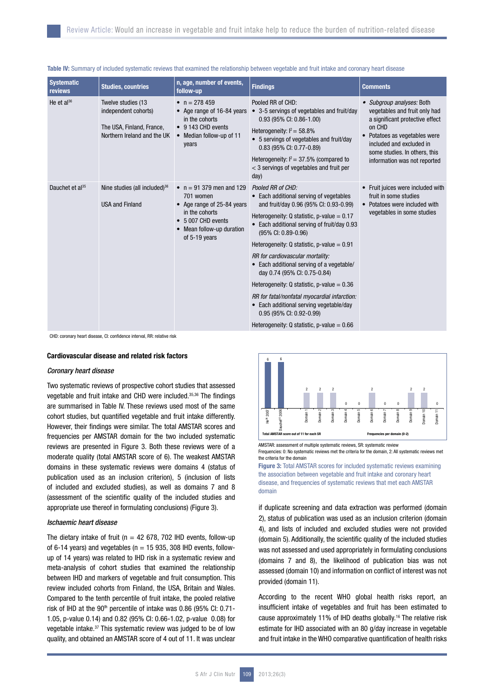| <b>Systematic</b><br>reviews | <b>Studies, countries</b>                                                                              | n, age, number of events,<br>follow-up                                                                                                                     | <b>Findings</b>                                                                                                                                                                                                                                                                                                                                                                                                                                                                                                                                                                                                       | <b>Comments</b>                                                                                                                                                                                                                       |
|------------------------------|--------------------------------------------------------------------------------------------------------|------------------------------------------------------------------------------------------------------------------------------------------------------------|-----------------------------------------------------------------------------------------------------------------------------------------------------------------------------------------------------------------------------------------------------------------------------------------------------------------------------------------------------------------------------------------------------------------------------------------------------------------------------------------------------------------------------------------------------------------------------------------------------------------------|---------------------------------------------------------------------------------------------------------------------------------------------------------------------------------------------------------------------------------------|
| He et $al^{36}$              | Twelve studies (13<br>independent cohorts)<br>The USA, Finland, France,<br>Northern Ireland and the UK | • $n = 278459$<br>• Age range of 16-84 years<br>in the cohorts<br>• 9 143 CHD events<br>• Median follow-up of 11<br>years                                  | Pooled RR of CHD:<br>• 3-5 servings of vegetables and fruit/day<br>0.93 (95% CI: 0.86-1.00)<br>Heterogeneity: $I^2 = 58.8\%$<br>• 5 servings of vegetables and fruit/day<br>0.83 (95% CI: 0.77-0.89)<br>Heterogeneity: $I^2 = 37.5\%$ (compared to<br>< 3 servings of vegetables and fruit per<br>day)                                                                                                                                                                                                                                                                                                                | • Subgroup analyses: Both<br>vegetables and fruit only had<br>a significant protective effect<br>on CHD<br>• Potatoes as vegetables were<br>included and excluded in<br>some studies. In others, this<br>information was not reported |
| Dauchet et al <sup>35</sup>  | Nine studies (all included) <sup>36</sup><br><b>USA and Finland</b>                                    | • $n = 91379$ men and 129<br>701 women<br>• Age range of 25-84 years<br>in the cohorts<br>• 5 007 CHD events<br>• Mean follow-up duration<br>of 5-19 years | Pooled RR of CHD:<br>• Each additional serving of vegetables<br>and fruit/day 0.96 (95% CI: 0.93-0.99)<br>Heterogeneity: Q statistic, p-value = $0.17$<br>• Each additional serving of fruit/day 0.93<br>(95% CI: 0.89-0.96)<br>Heterogeneity: Q statistic, p-value = $0.91$<br>RR for cardiovascular mortality:<br>• Each additional serving of a vegetable/<br>day 0.74 (95% CI: 0.75-0.84)<br>Heterogeneity: Q statistic, p-value = $0.36$<br>RR for fatal/nonfatal myocardial infarction:<br>• Each additional serving vegetable/day<br>0.95 (95% CI: 0.92-0.99)<br>Heterogeneity: Q statistic, $p$ -value = 0.66 | • Fruit juices were included with<br>fruit in some studies<br>• Potatoes were included with<br>vegetables in some studies                                                                                                             |

### Table IV: Summary of included systematic reviews that examined the relationship between vegetable and fruit intake and coronary heart disease

CHD: coronary heart disease, CI: confidence interval, RR: relative risk

# Cardiovascular disease and related risk factors

#### *Coronary heart disease*

Two systematic reviews of prospective cohort studies that assessed vegetable and fruit intake and CHD were included.35,36 The findings are summarised in Table IV. These reviews used most of the same cohort studies, but quantified vegetable and fruit intake differently. However, their findings were similar. The total AMSTAR scores and frequencies per AMSTAR domain for the two included systematic reviews are presented in Figure 3. Both these reviews were of a moderate quality (total AMSTAR score of 6). The weakest AMSTAR domains in these systematic reviews were domains 4 (status of publication used as an inclusion criterion), 5 (inclusion of lists of included and excluded studies), as well as domains 7 and 8 (assessment of the scientific quality of the included studies and appropriate use thereof in formulating conclusions) (Figure 3).

# *Ischaemic heart disease*

The dietary intake of fruit ( $n = 42$  678, 702 IHD events, follow-up of 6-14 years) and vegetables ( $n = 15$  935, 308 IHD events, followup of 14 years) was related to IHD risk in a systematic review and meta-analysis of cohort studies that examined the relationship between IHD and markers of vegetable and fruit consumption. This review included cohorts from Finland, the USA, Britain and Wales. Compared to the tenth percentile of fruit intake, the pooled relative risk of IHD at the 90<sup>th</sup> percentile of intake was 0.86 (95% CI: 0.71-1.05, p-value 0.14) and 0.82 (95% CI: 0.66-1.02, p-value 0.08) for vegetable intake.37 This systematic review was judged to be of low quality, and obtained an AMSTAR score of 4 out of 11. It was unclear



Frequencies: 0: No systematic reviews met the criteria for the domain, 2: All systematic reviews met the criteria for the domain

Figure 3: Total AMSTAR scores for included systematic reviews examining the association between vegetable and fruit intake and coronary heart disease, and frequencies of systematic reviews that met each AMSTAR domain

if duplicate screening and data extraction was performed (domain 2), status of publication was used as an inclusion criterion (domain 4), and lists of included and excluded studies were not provided (domain 5). Additionally, the scientific quality of the included studies was not assessed and used appropriately in formulating conclusions (domains 7 and 8), the likelihood of publication bias was not assessed (domain 10) and information on conflict of interest was not provided (domain 11).

According to the recent WHO global health risks report, an insufficient intake of vegetables and fruit has been estimated to cause approximately 11% of IHD deaths globally.16 The relative risk estimate for IHD associated with an 80 g/day increase in vegetable and fruit intake in the WHO comparative quantification of health risks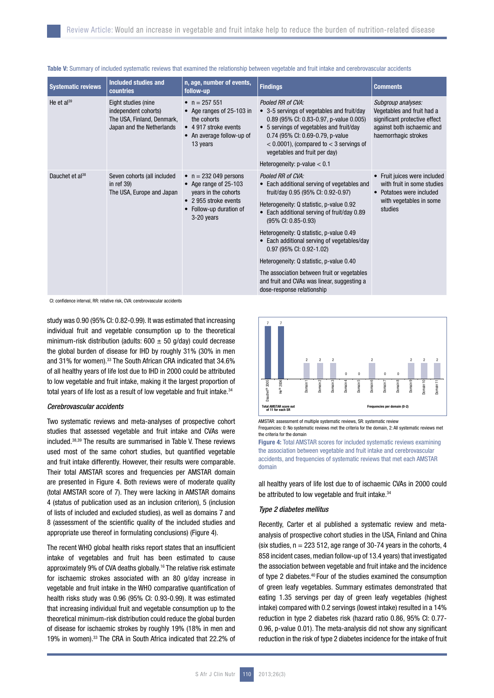| <b>Systematic reviews</b>   | Included studies and<br><b>countries</b>                                                               | n, age, number of events,<br>follow-up                                                                                                    | <b>Findings</b>                                                                                                                                                                                                                                                                                                                                                                                                                                                                                                         | <b>Comments</b>                                                                                                                         |
|-----------------------------|--------------------------------------------------------------------------------------------------------|-------------------------------------------------------------------------------------------------------------------------------------------|-------------------------------------------------------------------------------------------------------------------------------------------------------------------------------------------------------------------------------------------------------------------------------------------------------------------------------------------------------------------------------------------------------------------------------------------------------------------------------------------------------------------------|-----------------------------------------------------------------------------------------------------------------------------------------|
| He et $al^{39}$             | Eight studies (nine<br>independent cohorts)<br>The USA, Finland, Denmark,<br>Japan and the Netherlands | • $n = 257551$<br>• Age ranges of 25-103 in<br>the cohorts<br>• 4 917 stroke events<br>• An average follow-up of<br>13 years              | Pooled RR of CVA:<br>• 3-5 servings of vegetables and fruit/day<br>0.89 (95% CI: 0.83-0.97, p-value 0.005)<br>• 5 servings of vegetables and fruit/day<br>0.74 (95% CI: 0.69-0.79, p-value<br>$<$ 0.0001), (compared to $<$ 3 servings of<br>vegetables and fruit per day)<br>Heterogeneity: $p$ -value $< 0.1$                                                                                                                                                                                                         | Subgroup analyses:<br>Vegetables and fruit had a<br>significant protective effect<br>against both ischaemic and<br>haemorrhagic strokes |
| Dauchet et al <sup>38</sup> | Seven cohorts (all included<br>in ref $39$ )<br>The USA, Europe and Japan                              | • $n = 232049$ persons<br>• Age range of 25-103<br>years in the cohorts<br>• 2 955 stroke events<br>• Follow-up duration of<br>3-20 years | Pooled RR of CVA:<br>• Each additional serving of vegetables and<br>fruit/day 0.95 (95% CI: 0.92-0.97)<br>Heterogeneity: Q statistic, p-value 0.92<br>• Each additional serving of fruit/day 0.89<br>(95% CI: 0.85-0.93)<br>Heterogeneity: Q statistic, p-value 0.49<br>• Each additional serving of vegetables/day<br>0.97 (95% CI: 0.92-1.02)<br>Heterogeneity: Q statistic, p-value 0.40<br>The association between fruit or vegetables<br>and fruit and CVAs was linear, suggesting a<br>dose-response relationship | • Fruit juices were included<br>with fruit in some studies<br>• Potatoes were included<br>with vegetables in some<br>studies            |

| Table V: Summary of included systematic reviews that examined the relationship between vegetable and fruit intake and cerebrovascular accidents |  |  |  |
|-------------------------------------------------------------------------------------------------------------------------------------------------|--|--|--|
|-------------------------------------------------------------------------------------------------------------------------------------------------|--|--|--|

CI: confidence interval, RR: relative risk, CVA: cerebrovascular accidents

study was 0.90 (95% CI: 0.82-0.99). It was estimated that increasing individual fruit and vegetable consumption up to the theoretical minimum-risk distribution (adults:  $600 \pm 50$  g/day) could decrease the global burden of disease for IHD by roughly 31% (30% in men and 31% for women).<sup>33</sup> The South African CRA indicated that 34.6% of all healthy years of life lost due to IHD in 2000 could be attributed to low vegetable and fruit intake, making it the largest proportion of total years of life lost as a result of low vegetable and fruit intake.<sup>34</sup>

#### *Cerebrovascular accidents*

Two systematic reviews and meta-analyses of prospective cohort studies that assessed vegetable and fruit intake and CVAs were included.38,39 The results are summarised in Table V. These reviews used most of the same cohort studies, but quantified vegetable and fruit intake differently. However, their results were comparable. Their total AMSTAR scores and frequencies per AMSTAR domain are presented in Figure 4. Both reviews were of moderate quality (total AMSTAR score of 7). They were lacking in AMSTAR domains 4 (status of publication used as an inclusion criterion), 5 (inclusion of lists of included and excluded studies), as well as domains 7 and 8 (assessment of the scientific quality of the included studies and appropriate use thereof in formulating conclusions) (Figure 4).

The recent WHO global health risks report states that an insufficient intake of vegetables and fruit has been estimated to cause approximately 9% of CVA deaths globally.16 The relative risk estimate for ischaemic strokes associated with an 80 g/day increase in vegetable and fruit intake in the WHO comparative quantification of health risks study was 0.96 (95% CI: 0.93-0.99). It was estimated that increasing individual fruit and vegetable consumption up to the theoretical minimum-risk distribution could reduce the global burden of disease for ischaemic strokes by roughly 19% (18% in men and 19% in women).33 The CRA in South Africa indicated that 22.2% of



AMSTAR: assessment of multiple systematic reviews, SR: systematic review Frequencies: 0: No systematic reviews met the criteria for the domain, 2: All systematic reviews met the criteria for the domain

**Figure 4: Total AMSTAR scores for included systematic reviews examining** the association between vegetable and fruit intake and cerebrovascular accidents, and frequencies of systematic reviews that met each AMSTAR domain

all healthy years of life lost due to of ischaemic CVAs in 2000 could be attributed to low vegetable and fruit intake.<sup>34</sup>

# *Type 2 diabetes mellitus*

Recently, Carter et al published a systematic review and metaanalysis of prospective cohort studies in the USA, Finland and China (six studies,  $n = 223512$ , age range of 30-74 years in the cohorts, 4 858 incident cases, median follow-up of 13.4 years) that investigated the association between vegetable and fruit intake and the incidence of type 2 diabetes.40 Four of the studies examined the consumption of green leafy vegetables. Summary estimates demonstrated that eating 1.35 servings per day of green leafy vegetables (highest intake) compared with 0.2 servings (lowest intake) resulted in a 14% reduction in type 2 diabetes risk (hazard ratio 0.86, 95% CI: 0.77- 0.96, p-value 0.01). The meta-analysis did not show any significant reduction in the risk of type 2 diabetes incidence for the intake of fruit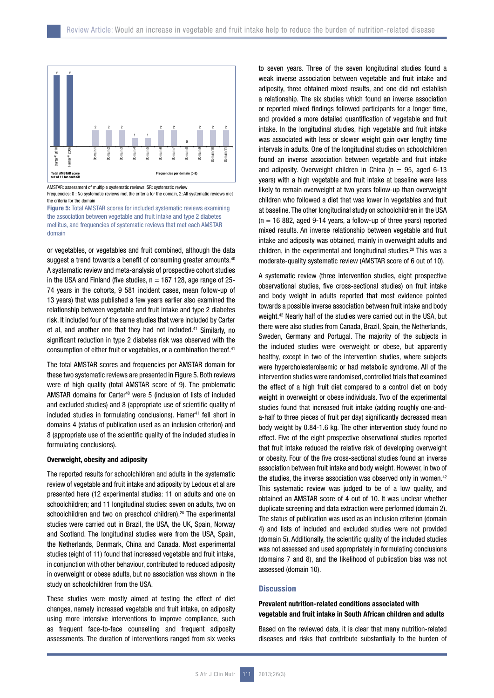

Frequencies: 0 : No systematic reviews met the criteria for the domain, 2: All systematic reviews met the criteria for the domain



or vegetables, or vegetables and fruit combined, although the data suggest a trend towards a benefit of consuming greater amounts.<sup>40</sup> A systematic review and meta-analysis of prospective cohort studies in the USA and Finland (five studies,  $n = 167$  128, age range of 25-74 years in the cohorts, 9 581 incident cases, mean follow-up of 13 years) that was published a few years earlier also examined the relationship between vegetable and fruit intake and type 2 diabetes risk. It included four of the same studies that were included by Carter et al, and another one that they had not included.<sup>41</sup> Similarly, no significant reduction in type 2 diabetes risk was observed with the consumption of either fruit or vegetables, or a combination thereof.41

The total AMSTAR scores and frequencies per AMSTAR domain for these two systematic reviews are presented in Figure 5. Both reviews were of high quality (total AMSTAR score of 9). The problematic AMSTAR domains for Carter40 were 5 (inclusion of lists of included and excluded studies) and 8 (appropriate use of scientific quality of included studies in formulating conclusions). Hamer<sup>41</sup> fell short in domains 4 (status of publication used as an inclusion criterion) and 8 (appropriate use of the scientific quality of the included studies in formulating conclusions).

#### Overweight, obesity and adiposity

The reported results for schoolchildren and adults in the systematic review of vegetable and fruit intake and adiposity by Ledoux et al are presented here (12 experimental studies: 11 on adults and one on schoolchildren; and 11 longitudinal studies: seven on adults, two on schoolchildren and two on preschool children).<sup>28</sup> The experimental studies were carried out in Brazil, the USA, the UK, Spain, Norway and Scotland. The longitudinal studies were from the USA, Spain, the Netherlands, Denmark, China and Canada. Most experimental studies (eight of 11) found that increased vegetable and fruit intake, in conjunction with other behaviour, contributed to reduced adiposity in overweight or obese adults, but no association was shown in the study on schoolchildren from the USA.

These studies were mostly aimed at testing the effect of diet changes, namely increased vegetable and fruit intake, on adiposity using more intensive interventions to improve compliance, such as frequent face-to-face counselling and frequent adiposity assessments. The duration of interventions ranged from six weeks

to seven years. Three of the seven longitudinal studies found a weak inverse association between vegetable and fruit intake and adiposity, three obtained mixed results, and one did not establish a relationship. The six studies which found an inverse association or reported mixed findings followed participants for a longer time, and provided a more detailed quantification of vegetable and fruit intake. In the longitudinal studies, high vegetable and fruit intake was associated with less or slower weight gain over lengthy time intervals in adults. One of the longitudinal studies on schoolchildren found an inverse association between vegetable and fruit intake and adiposity. Overweight children in China ( $n = 95$ , aged 6-13 years) with a high vegetable and fruit intake at baseline were less likely to remain overweight at two years follow-up than overweight children who followed a diet that was lower in vegetables and fruit at baseline. The other longitudinal study on schoolchildren in the USA  $(n = 16 882, \text{ aged } 9-14 \text{ years}, \text{a follow-up of three years})$  reported mixed results. An inverse relationship between vegetable and fruit intake and adiposity was obtained, mainly in overweight adults and children, in the experimental and longitudinal studies.28 This was a moderate-quality systematic review (AMSTAR score of 6 out of 10).

A systematic review (three intervention studies, eight prospective observational studies, five cross-sectional studies) on fruit intake and body weight in adults reported that most evidence pointed towards a possible inverse association between fruit intake and body weight.42 Nearly half of the studies were carried out in the USA, but there were also studies from Canada, Brazil, Spain, the Netherlands, Sweden, Germany and Portugal. The majority of the subjects in the included studies were overweight or obese, but apparently healthy, except in two of the intervention studies, where subjects were hypercholesterolaemic or had metabolic syndrome. All of the intervention studies were randomised, controlled trials that examined the effect of a high fruit diet compared to a control diet on body weight in overweight or obese individuals. Two of the experimental studies found that increased fruit intake (adding roughly one-anda-half to three pieces of fruit per day) significantly decreased mean body weight by 0.84-1.6 kg. The other intervention study found no effect. Five of the eight prospective observational studies reported that fruit intake reduced the relative risk of developing overweight or obesity. Four of the five cross-sectional studies found an inverse association between fruit intake and body weight. However, in two of the studies, the inverse association was observed only in women.<sup>42</sup> This systematic review was judged to be of a low quality, and obtained an AMSTAR score of 4 out of 10. It was unclear whether duplicate screening and data extraction were performed (domain 2). The status of publication was used as an inclusion criterion (domain 4) and lists of included and excluded studies were not provided (domain 5). Additionally, the scientific quality of the included studies was not assessed and used appropriately in formulating conclusions (domains 7 and 8), and the likelihood of publication bias was not assessed (domain 10).

#### **Discussion**

# Prevalent nutrition-related conditions associated with vegetable and fruit intake in South African children and adults

Based on the reviewed data, it is clear that many nutrition-related diseases and risks that contribute substantially to the burden of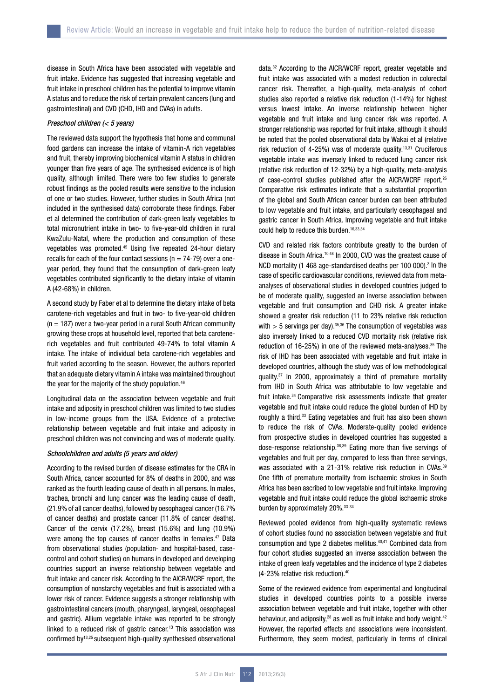disease in South Africa have been associated with vegetable and fruit intake. Evidence has suggested that increasing vegetable and fruit intake in preschool children has the potential to improve vitamin A status and to reduce the risk of certain prevalent cancers (lung and gastrointestinal) and CVD (CHD, IHD and CVAs) in adults.

# *Preschool children (< 5 years)*

The reviewed data support the hypothesis that home and communal food gardens can increase the intake of vitamin-A rich vegetables and fruit, thereby improving biochemical vitamin A status in children younger than five years of age. The synthesised evidence is of high quality, although limited. There were too few studies to generate robust findings as the pooled results were sensitive to the inclusion of one or two studies. However, further studies in South Africa (not included in the synthesised data) corroborate these findings. Faber et al determined the contribution of dark-green leafy vegetables to total micronutrient intake in two- to five-year-old children in rural KwaZulu-Natal, where the production and consumption of these vegetables was promoted.45 Using five repeated 24-hour dietary recalls for each of the four contact sessions ( $n = 74-79$ ) over a oneyear period, they found that the consumption of dark-green leafy vegetables contributed significantly to the dietary intake of vitamin A (42-68%) in children.

A second study by Faber et al to determine the dietary intake of beta carotene-rich vegetables and fruit in two- to five-year-old children  $(n = 187)$  over a two-year period in a rural South African community growing these crops at household level, reported that beta carotenerich vegetables and fruit contributed 49-74% to total vitamin A intake. The intake of individual beta carotene-rich vegetables and fruit varied according to the season. However, the authors reported that an adequate dietary vitamin A intake was maintained throughout the year for the majority of the study population.<sup>46</sup>

Longitudinal data on the association between vegetable and fruit intake and adiposity in preschool children was limited to two studies in low-income groups from the USA. Evidence of a protective relationship between vegetable and fruit intake and adiposity in preschool children was not convincing and was of moderate quality.

# *Schoolchildren and adults (5 years and older)*

According to the revised burden of disease estimates for the CRA in South Africa, cancer accounted for 8% of deaths in 2000, and was ranked as the fourth leading cause of death in all persons. In males, trachea, bronchi and lung cancer was the leading cause of death, (21.9% of all cancer deaths), followed by oesophageal cancer (16.7% of cancer deaths) and prostate cancer (11.8% of cancer deaths). Cancer of the cervix (17.2%), breast (15.6%) and lung (10.9%) were among the top causes of cancer deaths in females.<sup>47</sup> Data from observational studies (population- and hospital-based, casecontrol and cohort studies) on humans in developed and developing countries support an inverse relationship between vegetable and fruit intake and cancer risk. According to the AICR/WCRF report, the consumption of nonstarchy vegetables and fruit is associated with a lower risk of cancer. Evidence suggests a stronger relationship with gastrointestinal cancers (mouth, pharyngeal, laryngeal, oesophageal and gastric). Allium vegetable intake was reported to be strongly linked to a reduced risk of gastric cancer.13 This association was confirmed by13,25 subsequent high-quality synthesised observational

data.32 According to the AICR/WCRF report, greater vegetable and fruit intake was associated with a modest reduction in colorectal cancer risk. Thereafter, a high-quality, meta-analysis of cohort studies also reported a relative risk reduction (1-14%) for highest versus lowest intake. An inverse relationship between higher vegetable and fruit intake and lung cancer risk was reported. A stronger relationship was reported for fruit intake, although it should be noted that the pooled observational data by Wakai et al (relative risk reduction of 4-25%) was of moderate quality.13,31 Cruciferous vegetable intake was inversely linked to reduced lung cancer risk (relative risk reduction of 12-32%) by a high-quality, meta-analysis of case-control studies published after the AICR/WCRF report.26 Comparative risk estimates indicate that a substantial proportion of the global and South African cancer burden can been attributed to low vegetable and fruit intake, and particularly oesophageal and gastric cancer in South Africa. Improving vegetable and fruit intake could help to reduce this burden.<sup>16,33,34</sup>

CVD and related risk factors contribute greatly to the burden of disease in South Africa.10,48 In 2000, CVD was the greatest cause of NCD mortality (1 468 age-standardised deaths per 100 000).<sup>3</sup> In the case of specific cardiovascular conditions, reviewed data from metaanalyses of observational studies in developed countries judged to be of moderate quality, suggested an inverse association between vegetable and fruit consumption and CHD risk. A greater intake showed a greater risk reduction (11 to 23% relative risk reduction with  $> 5$  servings per day).<sup>35,36</sup> The consumption of vegetables was also inversely linked to a reduced CVD mortality risk (relative risk reduction of 16-25%) in one of the reviewed meta-analyses.<sup>35</sup> The risk of IHD has been associated with vegetable and fruit intake in developed countries, although the study was of low methodological quality.37 In 2000, approximately a third of premature mortality from IHD in South Africa was attributable to low vegetable and fruit intake.34 Comparative risk assessments indicate that greater vegetable and fruit intake could reduce the global burden of IHD by roughly a third.<sup>33</sup> Eating vegetables and fruit has also been shown to reduce the risk of CVAs. Moderate-quality pooled evidence from prospective studies in developed countries has suggested a dose-response relationship.38,39 Eating more than five servings of vegetables and fruit per day, compared to less than three servings, was associated with a 21-31% relative risk reduction in CVAs.<sup>39</sup> One fifth of premature mortality from ischaemic strokes in South Africa has been ascribed to low vegetable and fruit intake. Improving vegetable and fruit intake could reduce the global ischaemic stroke burden by approximately 20%.33-34

Reviewed pooled evidence from high-quality systematic reviews of cohort studies found no association between vegetable and fruit consumption and type 2 diabetes mellitus.40,41 Combined data from four cohort studies suggested an inverse association between the intake of green leafy vegetables and the incidence of type 2 diabetes (4-23% relative risk reduction).40

Some of the reviewed evidence from experimental and longitudinal studies in developed countries points to a possible inverse association between vegetable and fruit intake, together with other behaviour, and adiposity,<sup>28</sup> as well as fruit intake and body weight.<sup>42</sup> However, the reported effects and associations were inconsistent. Furthermore, they seem modest, particularly in terms of clinical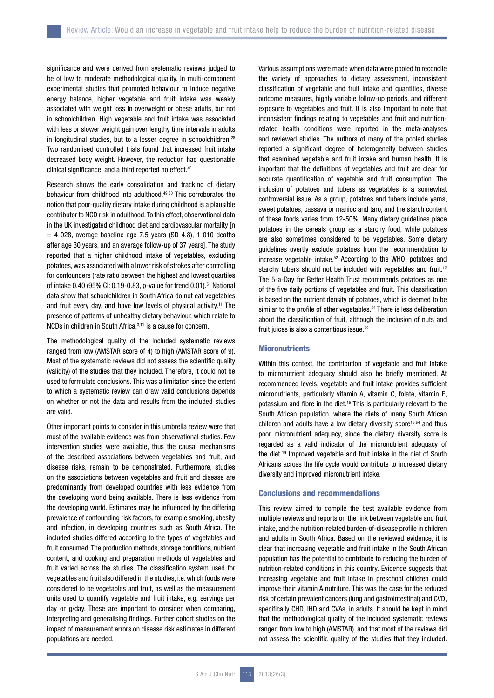significance and were derived from systematic reviews judged to be of low to moderate methodological quality. In multi-component experimental studies that promoted behaviour to induce negative energy balance, higher vegetable and fruit intake was weakly associated with weight loss in overweight or obese adults, but not in schoolchildren. High vegetable and fruit intake was associated with less or slower weight gain over lengthy time intervals in adults in longitudinal studies, but to a lesser degree in schoolchildren.<sup>28</sup> Two randomised controlled trials found that increased fruit intake decreased body weight. However, the reduction had questionable clinical significance, and a third reported no effect.<sup>42</sup>

Research shows the early consolidation and tracking of dietary behaviour from childhood into adulthood.<sup>49,50</sup> This corroborates the notion that poor-quality dietary intake during childhood is a plausible contributor to NCD risk in adulthood. To this effect, observational data in the UK investigated childhood diet and cardiovascular mortality [n  $= 4$  028, average baseline age 7.5 years (SD 4.8), 1 010 deaths after age 30 years, and an average follow-up of 37 years]. The study reported that a higher childhood intake of vegetables, excluding potatoes, was associated with a lower risk of strokes after controlling for confounders (rate ratio between the highest and lowest quartiles of intake 0.40 (95% CI: 0.19-0.83, p-value for trend 0.01).51 National data show that schoolchildren in South Africa do not eat vegetables and fruit every day, and have low levels of physical activity.<sup>11</sup> The presence of patterns of unhealthy dietary behaviour, which relate to NCDs in children in South Africa, 3,11 is a cause for concern.

The methodological quality of the included systematic reviews ranged from low (AMSTAR score of 4) to high (AMSTAR score of 9). Most of the systematic reviews did not assess the scientific quality (validity) of the studies that they included. Therefore, it could not be used to formulate conclusions. This was a limitation since the extent to which a systematic review can draw valid conclusions depends on whether or not the data and results from the included studies are valid.

Other important points to consider in this umbrella review were that most of the available evidence was from observational studies. Few intervention studies were available, thus the causal mechanisms of the described associations between vegetables and fruit, and disease risks, remain to be demonstrated. Furthermore, studies on the associations between vegetables and fruit and disease are predominantly from developed countries with less evidence from the developing world being available. There is less evidence from the developing world. Estimates may be influenced by the differing prevalence of confounding risk factors, for example smoking, obesity and infection, in developing countries such as South Africa. The included studies differed according to the types of vegetables and fruit consumed. The production methods, storage conditions, nutrient content, and cooking and preparation methods of vegetables and fruit varied across the studies. The classification system used for vegetables and fruit also differed in the studies, i.e. which foods were considered to be vegetables and fruit, as well as the measurement units used to quantify vegetable and fruit intake, e.g. servings per day or g/day. These are important to consider when comparing, interpreting and generalising findings. Further cohort studies on the impact of measurement errors on disease risk estimates in different populations are needed.

Various assumptions were made when data were pooled to reconcile the variety of approaches to dietary assessment, inconsistent classification of vegetable and fruit intake and quantities, diverse outcome measures, highly variable follow-up periods, and different exposure to vegetables and fruit. It is also important to note that inconsistent findings relating to vegetables and fruit and nutritionrelated health conditions were reported in the meta-analyses and reviewed studies. The authors of many of the pooled studies reported a significant degree of heterogeneity between studies that examined vegetable and fruit intake and human health. It is important that the definitions of vegetables and fruit are clear for accurate quantification of vegetable and fruit consumption. The inclusion of potatoes and tubers as vegetables is a somewhat controversial issue. As a group, potatoes and tubers include yams, sweet potatoes, cassava or manioc and taro, and the starch content of these foods varies from 12-50%. Many dietary guidelines place potatoes in the cereals group as a starchy food, while potatoes are also sometimes considered to be vegetables. Some dietary guidelines overtly exclude potatoes from the recommendation to increase vegetable intake.52 According to the WHO, potatoes and starchy tubers should not be included with vegetables and fruit.<sup>17</sup> The 5-a-Day for Better Health Trust recommends potatoes as one of the five daily portions of vegetables and fruit. This classification is based on the nutrient density of potatoes, which is deemed to be similar to the profile of other vegetables.<sup>53</sup> There is less deliberation about the classification of fruit, although the inclusion of nuts and fruit juices is also a contentious issue.<sup>52</sup>

# **Micronutrients**

Within this context, the contribution of vegetable and fruit intake to micronutrient adequacy should also be briefly mentioned. At recommended levels, vegetable and fruit intake provides sufficient micronutrients, particularly vitamin A, vitamin C, folate, vitamin E, potassium and fibre in the diet.15 This is particularly relevant to the South African population, where the diets of many South African children and adults have a low dietary diversity score<sup>19,54</sup> and thus poor micronutrient adequacy, since the dietary diversity score is regarded as a valid indicator of the micronutrient adequacy of the diet.19 Improved vegetable and fruit intake in the diet of South Africans across the life cycle would contribute to increased dietary diversity and improved micronutrient intake.

# Conclusions and recommendations

This review aimed to compile the best available evidence from multiple reviews and reports on the link between vegetable and fruit intake, and the nutrition-related burden-of-disease profile in children and adults in South Africa. Based on the reviewed evidence, it is clear that increasing vegetable and fruit intake in the South African population has the potential to contribute to reducing the burden of nutrition-related conditions in this country. Evidence suggests that increasing vegetable and fruit intake in preschool children could improve their vitamin A nutriture. This was the case for the reduced risk of certain prevalent cancers (lung and gastrointestinal) and CVD, specifically CHD, IHD and CVAs, in adults. It should be kept in mind that the methodological quality of the included systematic reviews ranged from low to high (AMSTAR), and that most of the reviews did not assess the scientific quality of the studies that they included.